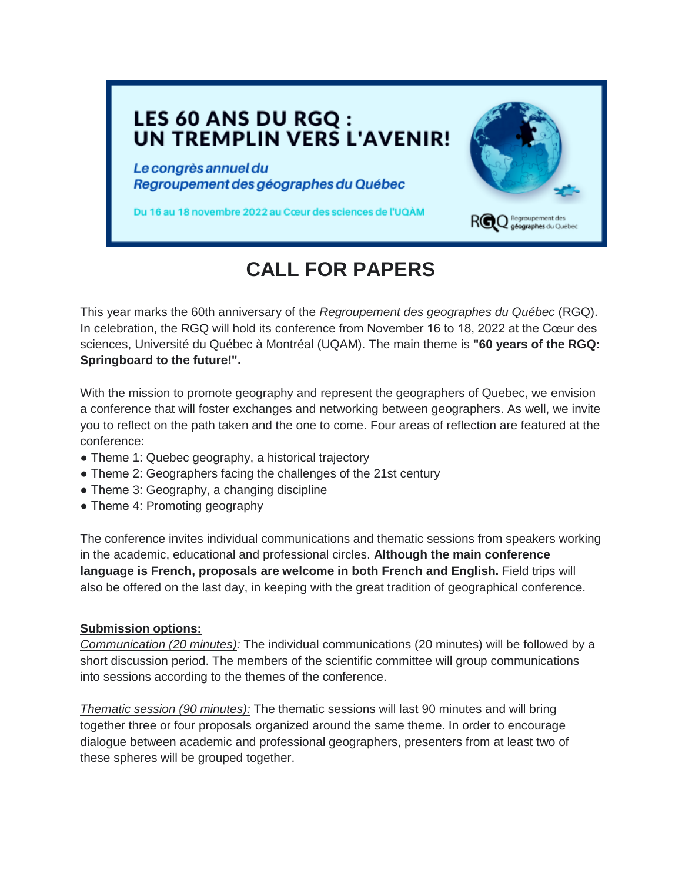## LES 60 ANS DU RGQ : UN TREMPLIN VERS L'AVENIR!

Le congrès annuel du Regroupement des géographes du Québec

Du 16 au 18 novembre 2022 au Cœur des sciences de l'UQAM



## **CALL FOR PAPERS**

This year marks the 60th anniversary of the *Regroupement des geographes du Québec* (RGQ). In celebration, the RGQ will hold its conference from November 16 to 18, 2022 at the Cœur des sciences, Université du Québec à Montréal (UQAM). The main theme is **"60 years of the RGQ: Springboard to the future!".**

With the mission to promote geography and represent the geographers of Quebec, we envision a conference that will foster exchanges and networking between geographers. As well, we invite you to reflect on the path taken and the one to come. Four areas of reflection are featured at the conference:

- Theme 1: Quebec geography, a historical trajectory
- Theme 2: Geographers facing the challenges of the 21st century
- Theme 3: Geography, a changing discipline
- Theme 4: Promoting geography

The conference invites individual communications and thematic sessions from speakers working in the academic, educational and professional circles. **Although the main conference language is French, proposals are welcome in both French and English.** Field trips will also be offered on the last day, in keeping with the great tradition of geographical conference.

## **Submission options:**

*Communication (20 minutes):* The individual communications (20 minutes) will be followed by a short discussion period. The members of the scientific committee will group communications into sessions according to the themes of the conference.

*Thematic session (90 minutes):* The thematic sessions will last 90 minutes and will bring together three or four proposals organized around the same theme. In order to encourage dialogue between academic and professional geographers, presenters from at least two of these spheres will be grouped together.